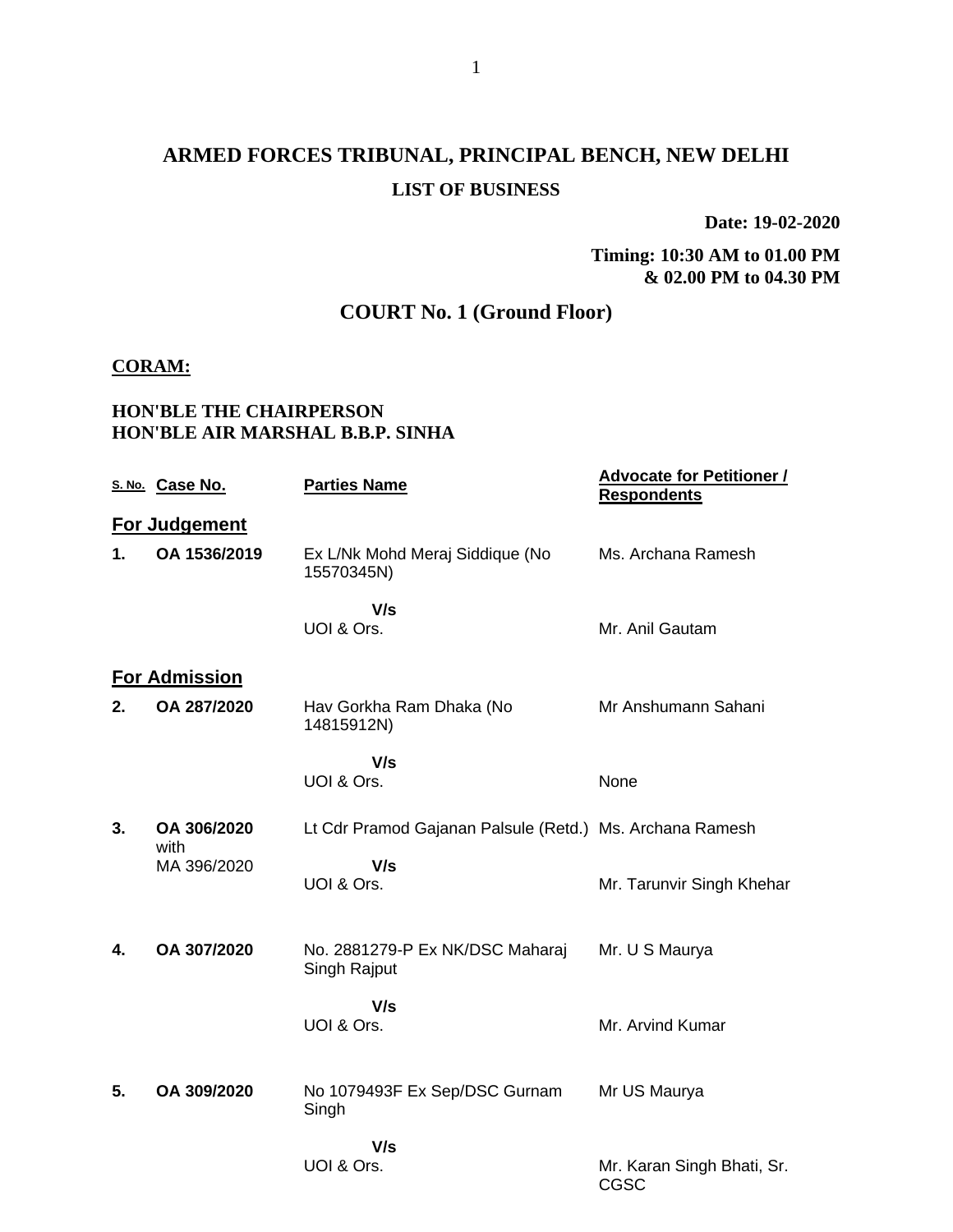## **ARMED FORCES TRIBUNAL, PRINCIPAL BENCH, NEW DELHI LIST OF BUSINESS**

**Date: 19-02-2020**

**Timing: 10:30 AM to 01.00 PM & 02.00 PM to 04.30 PM**

### **COURT No. 1 (Ground Floor)**

#### **CORAM:**

### **HON'BLE THE CHAIRPERSON HON'BLE AIR MARSHAL B.B.P. SINHA**

|    | S. No. Case No.      | <b>Parties Name</b>                                      | <b>Advocate for Petitioner /</b><br><b>Respondents</b> |  |  |
|----|----------------------|----------------------------------------------------------|--------------------------------------------------------|--|--|
|    | For Judgement        |                                                          |                                                        |  |  |
| 1. | OA 1536/2019         | Ex L/Nk Mohd Meraj Siddique (No<br>15570345N)            | Ms. Archana Ramesh                                     |  |  |
|    |                      | V/s                                                      |                                                        |  |  |
|    |                      | UOI & Ors.                                               | Mr. Anil Gautam                                        |  |  |
|    | <b>For Admission</b> |                                                          |                                                        |  |  |
| 2. | OA 287/2020          | Hav Gorkha Ram Dhaka (No<br>14815912N)                   | Mr Anshumann Sahani                                    |  |  |
|    |                      | V/s                                                      |                                                        |  |  |
|    |                      | UOI & Ors.                                               | None                                                   |  |  |
| 3. | OA 306/2020<br>with  | Lt Cdr Pramod Gajanan Palsule (Retd.) Ms. Archana Ramesh |                                                        |  |  |
|    | MA 396/2020          | V/s                                                      |                                                        |  |  |
|    |                      | UOI & Ors.                                               | Mr. Tarunvir Singh Khehar                              |  |  |
| 4. | OA 307/2020          | No. 2881279-P Ex NK/DSC Maharaj                          | Mr. U S Maurya                                         |  |  |
|    |                      | Singh Rajput                                             |                                                        |  |  |
|    |                      | V/s                                                      |                                                        |  |  |
|    |                      | UOI & Ors.                                               | Mr. Arvind Kumar                                       |  |  |
|    |                      |                                                          |                                                        |  |  |
| 5. | OA 309/2020          | No 1079493F Ex Sep/DSC Gurnam<br>Singh                   | Mr US Maurya                                           |  |  |
|    |                      | V/s                                                      |                                                        |  |  |
|    |                      | UOI & Ors.                                               | Mr. Karan Singh Bhati, Sr.<br>CGSC                     |  |  |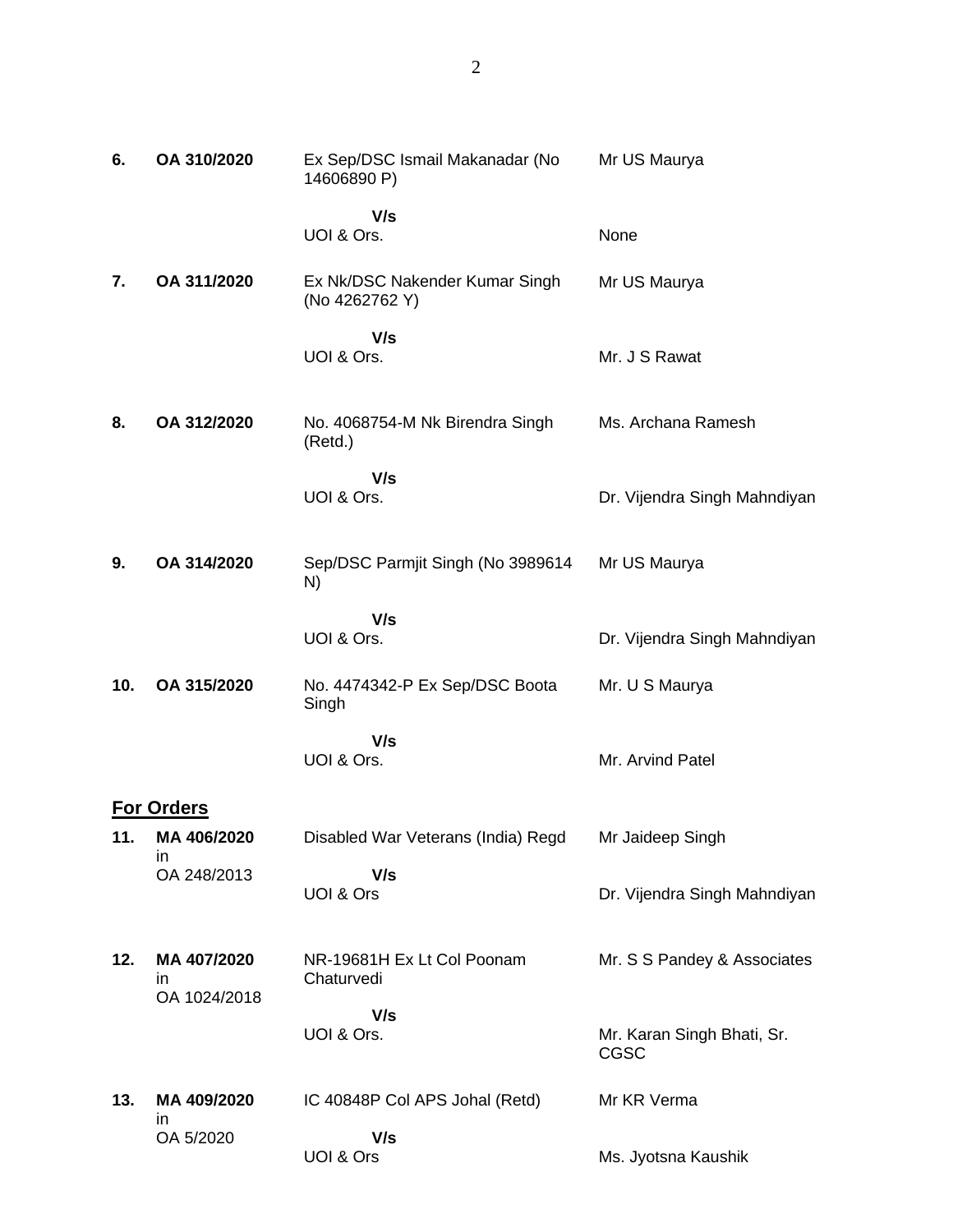| 6.  | OA 310/2020                        | Ex Sep/DSC Ismail Makanadar (No<br>14606890 P)   | Mr US Maurya                              |
|-----|------------------------------------|--------------------------------------------------|-------------------------------------------|
|     |                                    | V/s<br>UOI & Ors.                                | None                                      |
| 7.  | OA 311/2020                        | Ex Nk/DSC Nakender Kumar Singh<br>(No 4262762 Y) | Mr US Maurya                              |
|     |                                    | V/s<br>UOI & Ors.                                | Mr. J S Rawat                             |
| 8.  | OA 312/2020                        | No. 4068754-M Nk Birendra Singh<br>(Retd.)       | Ms. Archana Ramesh                        |
|     |                                    | V/s<br>UOI & Ors.                                | Dr. Vijendra Singh Mahndiyan              |
| 9.  | OA 314/2020                        | Sep/DSC Parmjit Singh (No 3989614<br>N)          | Mr US Maurya                              |
|     |                                    | V/s<br>UOI & Ors.                                | Dr. Vijendra Singh Mahndiyan              |
| 10. | OA 315/2020                        | No. 4474342-P Ex Sep/DSC Boota<br>Singh          | Mr. U S Maurya                            |
|     |                                    | V/s<br>UOI & Ors.                                | Mr. Arvind Patel                          |
|     | <b>For Orders</b>                  |                                                  |                                           |
| 11. | MA 406/2020<br>in                  | Disabled War Veterans (India) Regd               | Mr Jaideep Singh                          |
|     | OA 248/2013                        | V/s<br>UOI & Ors                                 | Dr. Vijendra Singh Mahndiyan              |
| 12. | MA 407/2020<br>in.<br>OA 1024/2018 | NR-19681H Ex Lt Col Poonam<br>Chaturvedi         | Mr. S S Pandey & Associates               |
|     |                                    | V/s<br>UOI & Ors.                                | Mr. Karan Singh Bhati, Sr.<br><b>CGSC</b> |
| 13. | MA 409/2020<br>in.                 | IC 40848P Col APS Johal (Retd)                   | Mr KR Verma                               |
|     | OA 5/2020                          | V/s<br>UOI & Ors                                 | Ms. Jyotsna Kaushik                       |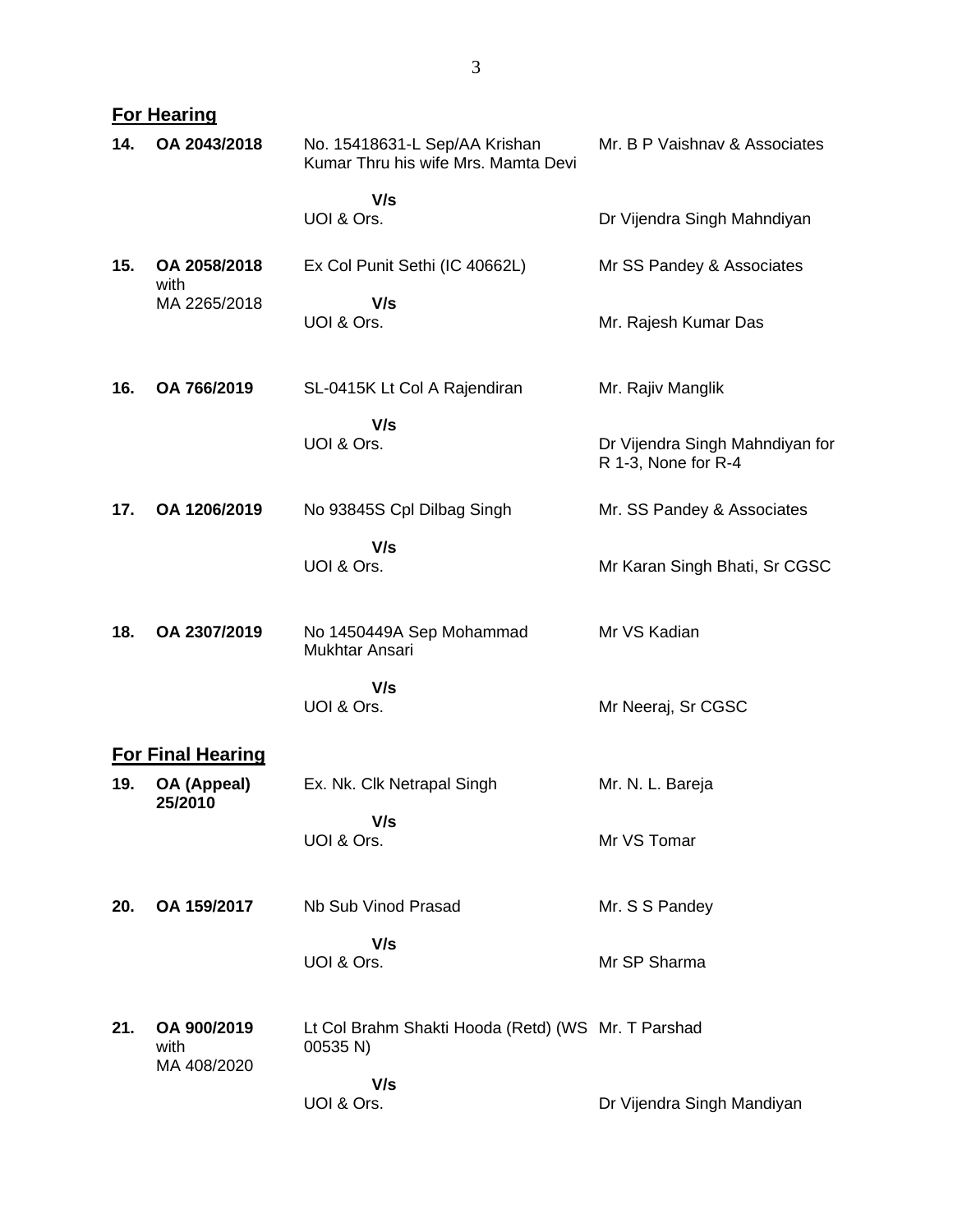| 14. | OA 2043/2018                       | No. 15418631-L Sep/AA Krishan<br>Kumar Thru his wife Mrs. Mamta Devi | Mr. B P Vaishnav & Associates                          |
|-----|------------------------------------|----------------------------------------------------------------------|--------------------------------------------------------|
|     |                                    | V/s<br>UOI & Ors.                                                    | Dr Vijendra Singh Mahndiyan                            |
| 15. | OA 2058/2018<br>with               | Ex Col Punit Sethi (IC 40662L)                                       | Mr SS Pandey & Associates                              |
|     | MA 2265/2018                       | V/s<br>UOI & Ors.                                                    | Mr. Rajesh Kumar Das                                   |
| 16. | OA 766/2019                        | SL-0415K Lt Col A Rajendiran                                         | Mr. Rajiv Manglik                                      |
|     |                                    | V/s<br>UOI & Ors.                                                    | Dr Vijendra Singh Mahndiyan for<br>R 1-3, None for R-4 |
| 17. | OA 1206/2019                       | No 93845S Cpl Dilbag Singh                                           | Mr. SS Pandey & Associates                             |
|     |                                    | V/s<br>UOI & Ors.                                                    | Mr Karan Singh Bhati, Sr CGSC                          |
| 18. | OA 2307/2019                       | No 1450449A Sep Mohammad<br>Mukhtar Ansari                           | Mr VS Kadian                                           |
|     |                                    | V/s<br>UOI & Ors.                                                    | Mr Neeraj, Sr CGSC                                     |
|     | <b>For Final Hearing</b>           |                                                                      |                                                        |
| 19. | OA (Appeal)<br>25/2010             | Ex. Nk. Clk Netrapal Singh                                           | Mr. N. L. Bareja                                       |
|     |                                    | V/s<br>UOI & Ors.                                                    | Mr VS Tomar                                            |
| 20. | OA 159/2017                        | Nb Sub Vinod Prasad                                                  | Mr. S S Pandey                                         |
|     |                                    | V/s<br>UOI & Ors.                                                    | Mr SP Sharma                                           |
| 21. | OA 900/2019<br>with<br>MA 408/2020 | Lt Col Brahm Shakti Hooda (Retd) (WS Mr. T Parshad<br>00535 N)       |                                                        |
|     |                                    | V/s<br>UOI & Ors.                                                    | Dr Vijendra Singh Mandiyan                             |

**For Hearing**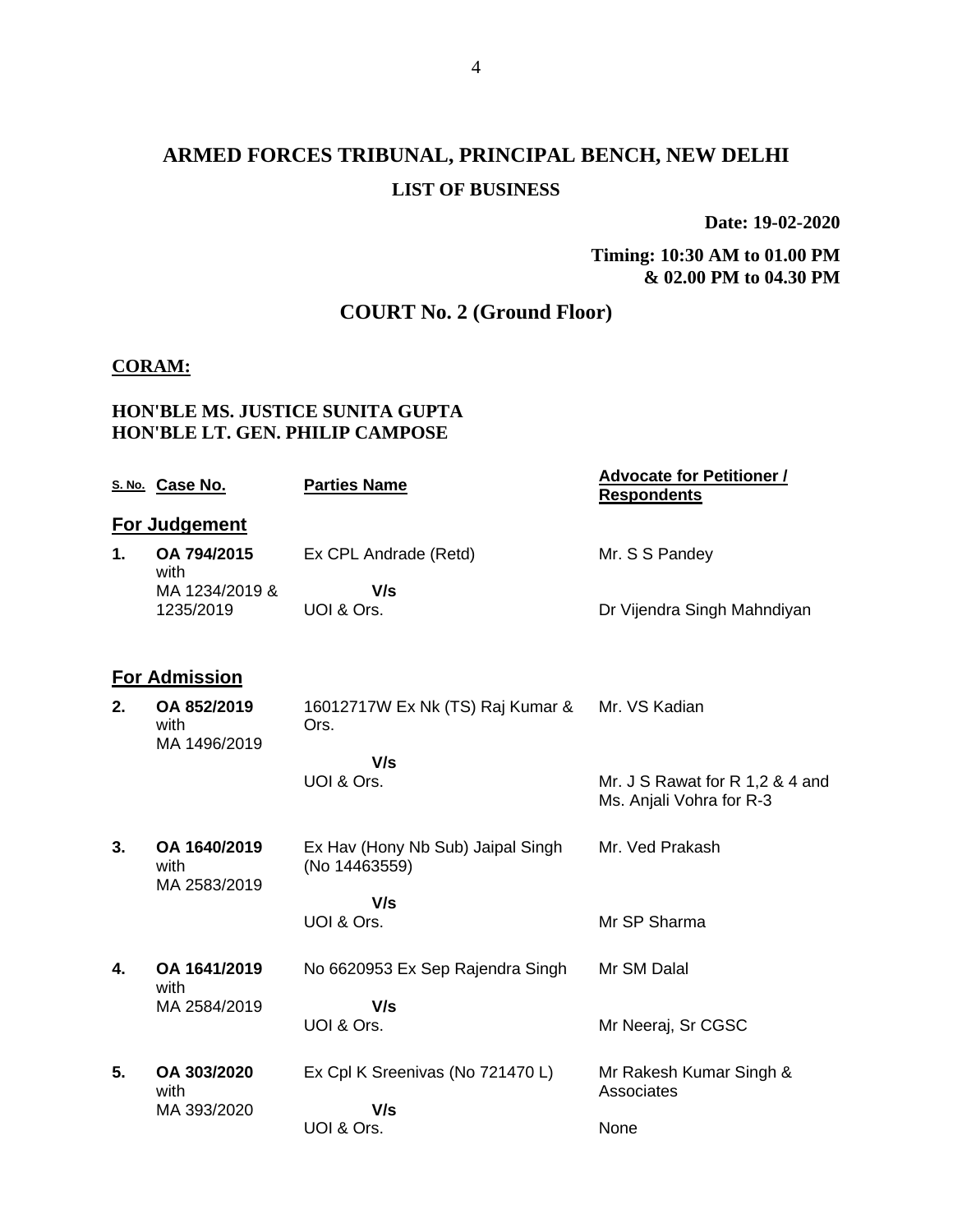## **ARMED FORCES TRIBUNAL, PRINCIPAL BENCH, NEW DELHI LIST OF BUSINESS**

**Date: 19-02-2020**

**Timing: 10:30 AM to 01.00 PM & 02.00 PM to 04.30 PM**

### **COURT No. 2 (Ground Floor)**

#### **CORAM:**

#### **HON'BLE MS. JUSTICE SUNITA GUPTA HON'BLE LT. GEN. PHILIP CAMPOSE**

|    | S. No. Case No.                      | <b>Parties Name</b>                                | <b>Advocate for Petitioner /</b><br><b>Respondents</b>      |
|----|--------------------------------------|----------------------------------------------------|-------------------------------------------------------------|
|    | For Judgement                        |                                                    |                                                             |
| 1. | OA 794/2015<br>with                  | Ex CPL Andrade (Retd)                              | Mr. S S Pandey                                              |
|    | MA 1234/2019 &                       | V/s                                                |                                                             |
|    | 1235/2019                            | UOI & Ors.                                         | Dr Vijendra Singh Mahndiyan                                 |
|    | <b>For Admission</b>                 |                                                    |                                                             |
| 2. | OA 852/2019<br>with<br>MA 1496/2019  | 16012717W Ex Nk (TS) Raj Kumar &<br>Ors.           | Mr. VS Kadian                                               |
|    |                                      | V/s                                                |                                                             |
|    |                                      | UOI & Ors.                                         | Mr. J S Rawat for R 1,2 & 4 and<br>Ms. Anjali Vohra for R-3 |
| 3. | OA 1640/2019<br>with<br>MA 2583/2019 | Ex Hav (Hony Nb Sub) Jaipal Singh<br>(No 14463559) | Mr. Ved Prakash                                             |
|    |                                      | V/s                                                |                                                             |
|    |                                      | UOI & Ors.                                         | Mr SP Sharma                                                |
| 4. | OA 1641/2019<br>with                 | No 6620953 Ex Sep Rajendra Singh                   | Mr SM Dalal                                                 |
|    | MA 2584/2019                         | V/s                                                |                                                             |
|    |                                      | UOI & Ors.                                         | Mr Neeraj, Sr CGSC                                          |
| 5. | OA 303/2020<br>with                  | Ex Cpl K Sreenivas (No 721470 L)                   | Mr Rakesh Kumar Singh &<br>Associates                       |
|    | MA 393/2020                          | V/s                                                |                                                             |
|    |                                      | UOI & Ors.                                         | None                                                        |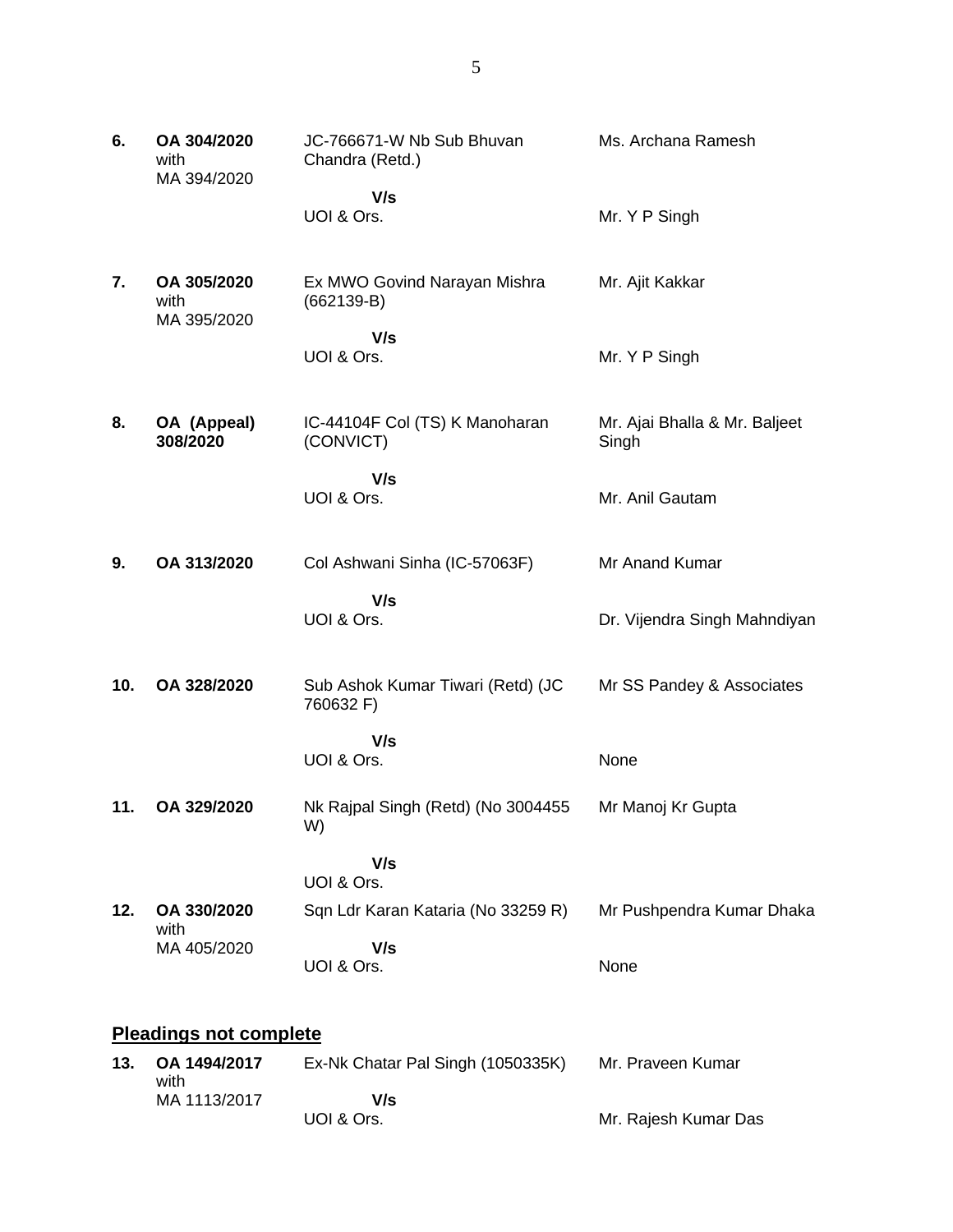| 6.  | OA 304/2020<br>with<br>MA 394/2020 | JC-766671-W Nb Sub Bhuvan<br>Chandra (Retd.)   | Ms. Archana Ramesh                     |
|-----|------------------------------------|------------------------------------------------|----------------------------------------|
|     |                                    | V/s<br>UOI & Ors.                              | Mr. Y P Singh                          |
| 7.  | OA 305/2020<br>with<br>MA 395/2020 | Ex MWO Govind Narayan Mishra<br>$(662139-B)$   | Mr. Ajit Kakkar                        |
|     |                                    | V/s<br>UOI & Ors.                              | Mr. Y P Singh                          |
| 8.  | OA (Appeal)<br>308/2020            | IC-44104F Col (TS) K Manoharan<br>(CONVICT)    | Mr. Ajai Bhalla & Mr. Baljeet<br>Singh |
|     |                                    | V/s<br>UOI & Ors.                              | Mr. Anil Gautam                        |
| 9.  | OA 313/2020                        | Col Ashwani Sinha (IC-57063F)                  | Mr Anand Kumar                         |
|     |                                    | V/s<br>UOI & Ors.                              | Dr. Vijendra Singh Mahndiyan           |
| 10. | OA 328/2020                        | Sub Ashok Kumar Tiwari (Retd) (JC<br>760632 F) | Mr SS Pandey & Associates              |
|     |                                    | V/s<br>UOI & Ors.                              | None                                   |
| 11. | OA 329/2020                        | Nk Rajpal Singh (Retd) (No 3004455<br>W)       | Mr Manoj Kr Gupta                      |
|     |                                    | V/s<br>UOI & Ors.                              |                                        |
| 12. | OA 330/2020                        | Sqn Ldr Karan Kataria (No 33259 R)             | Mr Pushpendra Kumar Dhaka              |
|     | with<br>MA 405/2020                | V/s<br>UOI & Ors.                              | None                                   |
|     |                                    |                                                |                                        |

# **Pleadings not complete**

| 13. OA 1494/2017<br>with | Ex-Nk Chatar Pal Singh (1050335K) | Mr. Praveen Kumar    |
|--------------------------|-----------------------------------|----------------------|
| MA 1113/2017             | V/s                               |                      |
|                          | UOI & Ors.                        | Mr. Rajesh Kumar Das |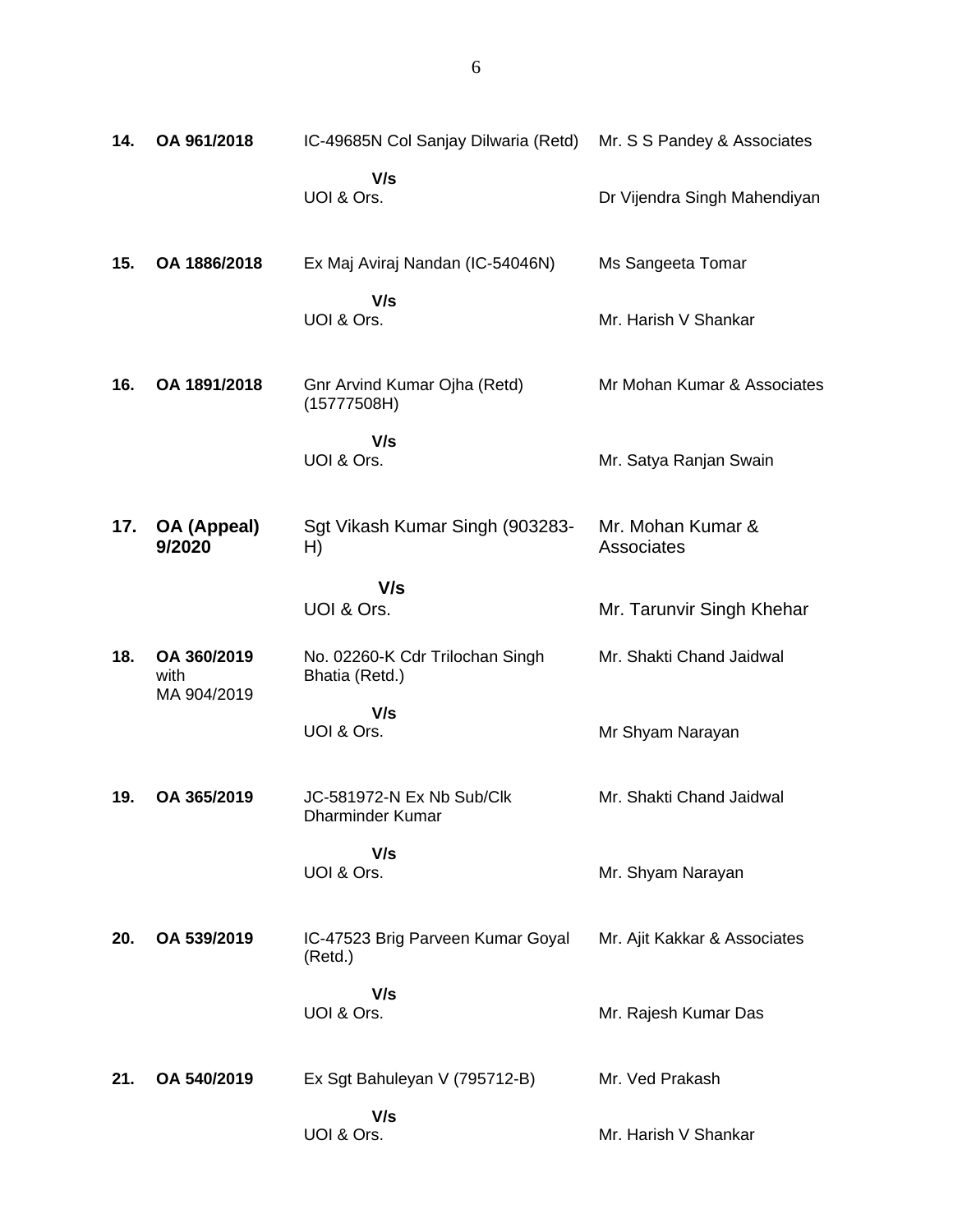| 14. | OA 961/2018                        | IC-49685N Col Sanjay Dilwaria (Retd)                 | Mr. S S Pandey & Associates     |
|-----|------------------------------------|------------------------------------------------------|---------------------------------|
|     |                                    | V/s<br>UOI & Ors.                                    | Dr Vijendra Singh Mahendiyan    |
| 15. | OA 1886/2018                       | Ex Maj Aviraj Nandan (IC-54046N)                     | Ms Sangeeta Tomar               |
|     |                                    | V/s<br>UOI & Ors.                                    | Mr. Harish V Shankar            |
| 16. | OA 1891/2018                       | Gnr Arvind Kumar Ojha (Retd)<br>(15777508H)          | Mr Mohan Kumar & Associates     |
|     |                                    | V/s<br>UOI & Ors.                                    | Mr. Satya Ranjan Swain          |
| 17. | <b>OA (Appeal)</b><br>9/2020       | Sgt Vikash Kumar Singh (903283-<br>H)                | Mr. Mohan Kumar &<br>Associates |
|     |                                    | V/s<br>UOI & Ors.                                    | Mr. Tarunvir Singh Khehar       |
| 18. | OA 360/2019<br>with<br>MA 904/2019 | No. 02260-K Cdr Trilochan Singh<br>Bhatia (Retd.)    | Mr. Shakti Chand Jaidwal        |
|     |                                    | V/s<br>UOI & Ors.                                    | Mr Shyam Narayan                |
| 19. | OA 365/2019                        | JC-581972-N Ex Nb Sub/Clk<br><b>Dharminder Kumar</b> | Mr. Shakti Chand Jaidwal        |
|     |                                    | V/s<br>UOI & Ors.                                    | Mr. Shyam Narayan               |
| 20. | OA 539/2019                        | IC-47523 Brig Parveen Kumar Goyal<br>(Retd.)         | Mr. Ajit Kakkar & Associates    |
|     |                                    | V/s<br>UOI & Ors.                                    | Mr. Rajesh Kumar Das            |
| 21. | OA 540/2019                        | Ex Sgt Bahuleyan V (795712-B)                        | Mr. Ved Prakash                 |
|     |                                    | V/s<br>UOI & Ors.                                    | Mr. Harish V Shankar            |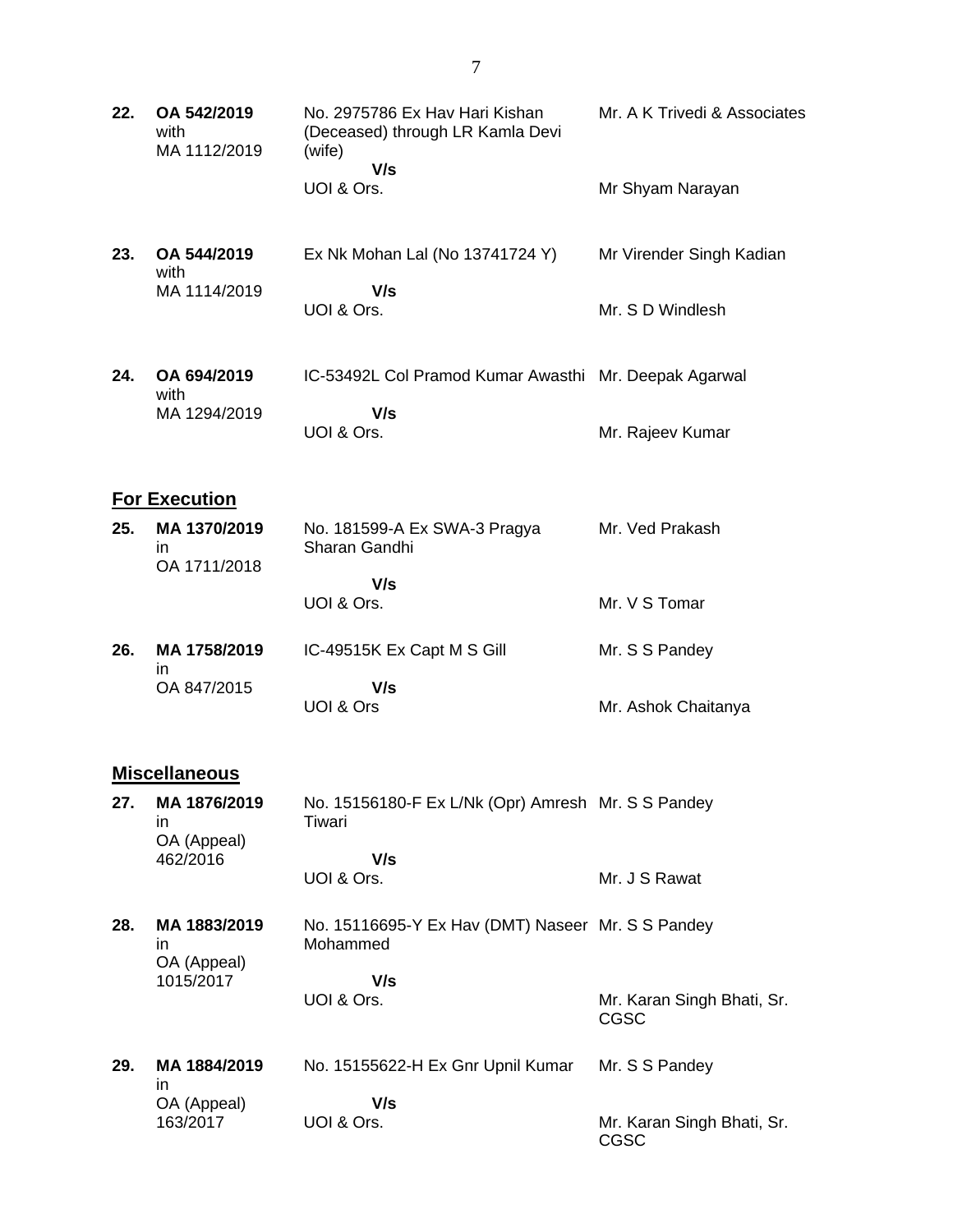| 22. | OA 542/2019<br>with<br>MA 1112/2019 | No. 2975786 Ex Hav Hari Kishan<br>(Deceased) through LR Kamla Devi<br>(wife)<br>V/s<br>UOI & Ors. | Mr. A K Trivedi & Associates<br>Mr Shyam Narayan |  |  |
|-----|-------------------------------------|---------------------------------------------------------------------------------------------------|--------------------------------------------------|--|--|
|     |                                     |                                                                                                   |                                                  |  |  |
| 23. | OA 544/2019<br>with<br>MA 1114/2019 | Ex Nk Mohan Lal (No 13741724 Y)<br>V/s                                                            | Mr Virender Singh Kadian                         |  |  |
|     |                                     | UOI & Ors.                                                                                        | Mr. S D Windlesh                                 |  |  |
| 24. | OA 694/2019<br>with                 | IC-53492L Col Pramod Kumar Awasthi Mr. Deepak Agarwal                                             |                                                  |  |  |
|     | MA 1294/2019                        | V/s<br>UOI & Ors.                                                                                 | Mr. Rajeev Kumar                                 |  |  |
|     | <b>For Execution</b>                |                                                                                                   |                                                  |  |  |
| 25. | MA 1370/2019<br>in.<br>OA 1711/2018 | No. 181599-A Ex SWA-3 Pragya<br>Sharan Gandhi                                                     | Mr. Ved Prakash                                  |  |  |
|     |                                     | V/s<br>UOI & Ors.                                                                                 | Mr. V S Tomar                                    |  |  |
| 26. | MA 1758/2019<br>in                  | IC-49515K Ex Capt M S Gill                                                                        | Mr. S S Pandey                                   |  |  |
|     | OA 847/2015                         | V/s<br>UOI & Ors                                                                                  | Mr. Ashok Chaitanya                              |  |  |
|     | <b>Miscellaneous</b>                |                                                                                                   |                                                  |  |  |
| 27. | MA 1876/2019<br>in<br>OA (Appeal)   | No. 15156180-F Ex L/Nk (Opr) Amresh Mr. S S Pandey<br>Tiwari                                      |                                                  |  |  |
|     | 462/2016                            | V/s<br>UOI & Ors.                                                                                 | Mr. J S Rawat                                    |  |  |

- **28. MA 1883/2019** in OA (Appeal) 1015/2017 No. 15116695-Y Ex Hav (DMT) Naseer Mr. S S Pandey Mohammed  **V/s** UOI & Ors. Mr. Karan Singh Bhati, Sr. CGSC
- **29. MA 1884/2019** in OA (Appeal) 163/2017 No. 15155622-H Ex Gnr Upnil Kumar  **V/s** UOI & Ors. Mr. S S Pandey Mr. Karan Singh Bhati, Sr. CGSC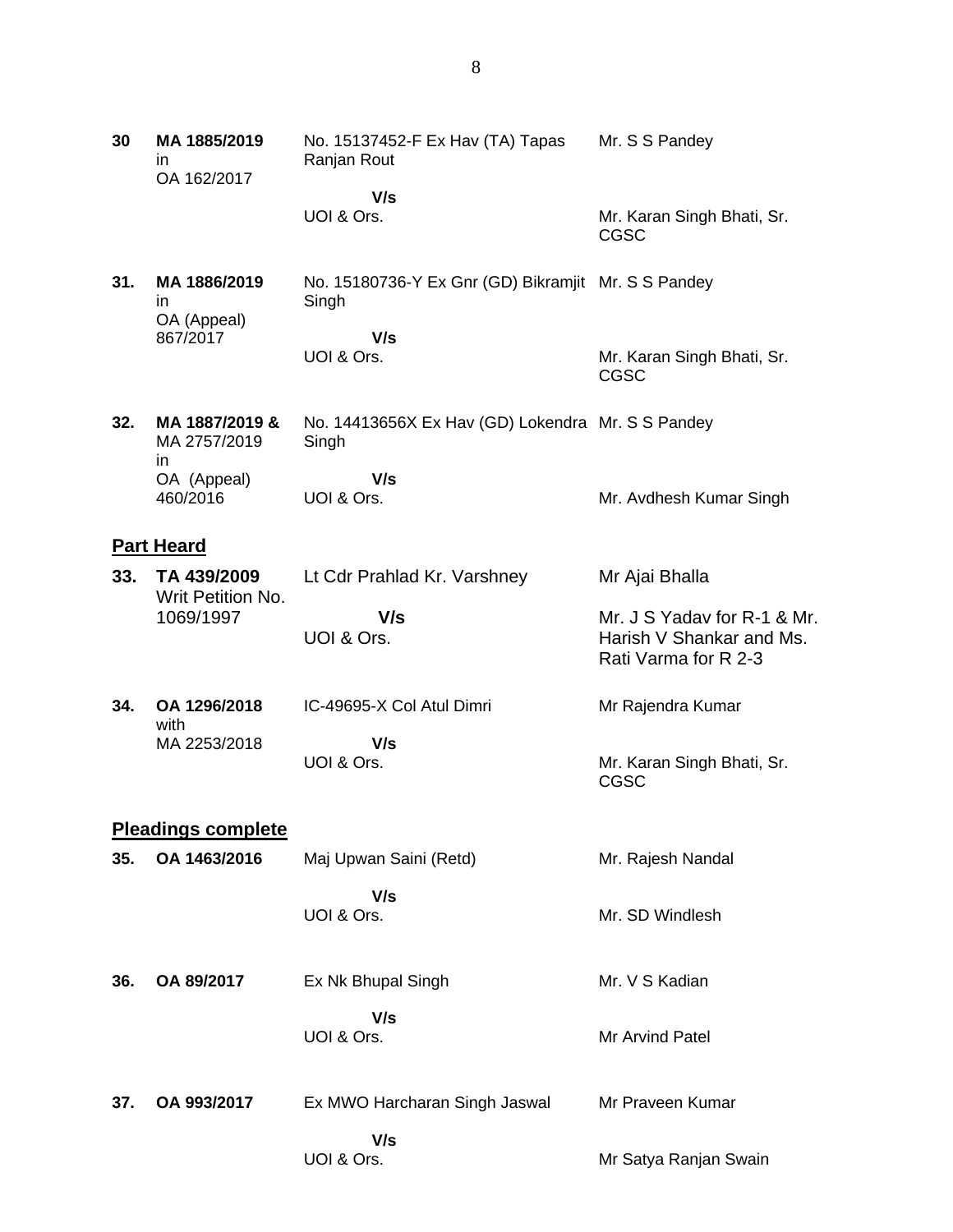**30 MA 1885/2019** in OA 162/2017 No. 15137452-F Ex Hav (TA) Tapas Ranjan Rout  **V/s** UOI & Ors. Mr. S S Pandey Mr. Karan Singh Bhati, Sr. CGSC **31. MA 1886/2019** in OA (Appeal) 867/2017 No. 15180736-Y Ex Gnr (GD) Bikramjit Mr. S S Pandey Singh  **V/s** UOI & Ors. Mr. Karan Singh Bhati, Sr. CGSC **32. MA 1887/2019 &** MA 2757/2019 in OA (Appeal) 460/2016 No. 14413656X Ex Hav (GD) Lokendra Mr. S S Pandey **Singh V/s** UOI & Ors. Mr. Avdhesh Kumar Singh **Part Heard 33. TA 439/2009** Writ Petition No. 1069/1997 Lt Cdr Prahlad Kr. Varshney  **V/s** UOI & Ors. Mr Ajai Bhalla Mr. J S Yadav for R-1 & Mr. Harish V Shankar and Ms. Rati Varma for R 2-3 **34. OA 1296/2018** with MA 2253/2018 IC-49695-X Col Atul Dimri  **V/s** UOI & Ors. Mr Rajendra Kumar Mr. Karan Singh Bhati, Sr. CGSC **Pleadings complete 35. OA 1463/2016** Maj Upwan Saini (Retd)  **V/s** UOI & Ors. Mr. Rajesh Nandal Mr. SD Windlesh **36. OA 89/2017** Ex Nk Bhupal Singh  **V/s** UOI & Ors. Mr. V S Kadian Mr Arvind Patel **37. OA 993/2017** Ex MWO Harcharan Singh Jaswal  **V/s** UOI & Ors. Mr Praveen Kumar Mr Satya Ranjan Swain